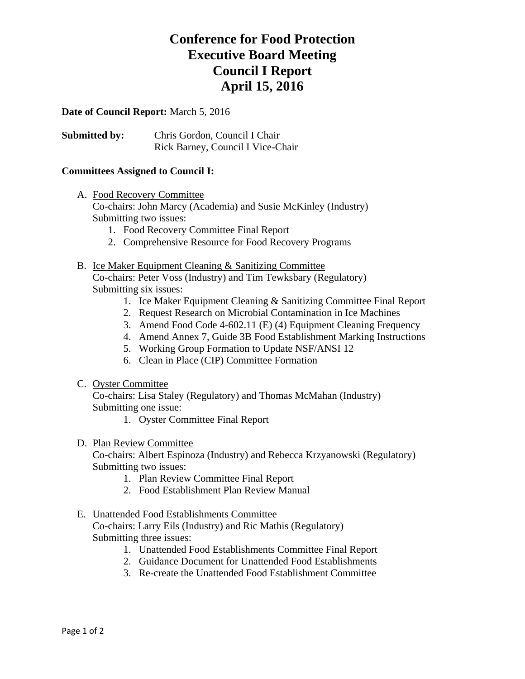# **Conference for Food Protection Executive Board Meeting Council I Report April 15, 2016**

#### **Date of Council Report:** March 5, 2016

| <b>Submitted by:</b> | Chris Gordon, Council I Chair     |
|----------------------|-----------------------------------|
|                      | Rick Barney, Council I Vice-Chair |

#### **Committees Assigned to Council I:**

A. Food Recovery Committee

Co-chairs: John Marcy (Academia) and Susie McKinley (Industry) Submitting two issues:

- 1. Food Recovery Committee Final Report
- 2. Comprehensive Resource for Food Recovery Programs

#### B. Ice Maker Equipment Cleaning & Sanitizing Committee

Co-chairs: Peter Voss (Industry) and Tim Tewksbary (Regulatory) Submitting six issues:

- 1. Ice Maker Equipment Cleaning & Sanitizing Committee Final Report
- 2. Request Research on Microbial Contamination in Ice Machines
- 3. Amend Food Code 4-602.11 (E) (4) Equipment Cleaning Frequency
- 4. Amend Annex 7, Guide 3B Food Establishment Marking Instructions
- 5. Working Group Formation to Update NSF/ANSI 12
- 6. Clean in Place (CIP) Committee Formation

## C. Oyster Committee

Co-chairs: Lisa Staley (Regulatory) and Thomas McMahan (Industry) Submitting one issue:

1. Oyster Committee Final Report

## D. Plan Review Committee

Co-chairs: Albert Espinoza (Industry) and Rebecca Krzyanowski (Regulatory) Submitting two issues:

- 1. Plan Review Committee Final Report
- 2. Food Establishment Plan Review Manual

## E. Unattended Food Establishments Committee

Co-chairs: Larry Eils (Industry) and Ric Mathis (Regulatory) Submitting three issues:

- 1. Unattended Food Establishments Committee Final Report
- 2. Guidance Document for Unattended Food Establishments
- 3. Re-create the Unattended Food Establishment Committee